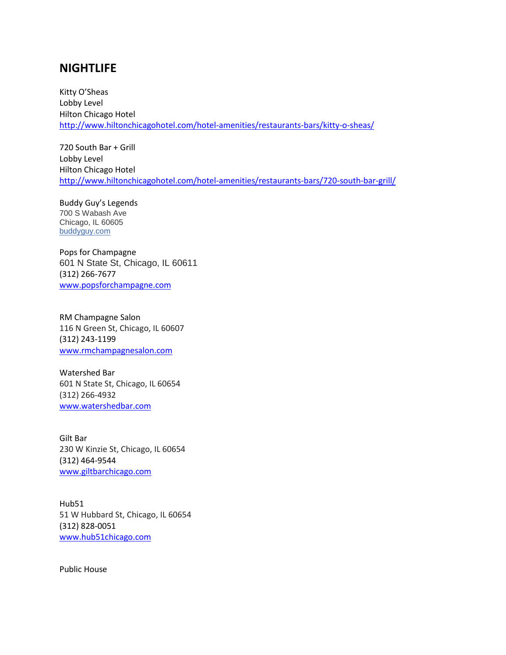## **NIGHTLIFE**

Kitty O'Sheas Lobby Level Hilton Chicago Hotel <http://www.hiltonchicagohotel.com/hotel-amenities/restaurants-bars/kitty-o-sheas/>

720 South Bar + Grill Lobby Level Hilton Chicago Hotel <http://www.hiltonchicagohotel.com/hotel-amenities/restaurants-bars/720-south-bar-grill/>

Buddy Guy's Legends 700 S Wabash Ave Chicago, IL 60605 [buddyguy.com](http://www.yelp.com/biz_redir?url=http%3A%2F%2Fwww.buddyguy.com%2F&src_bizid=wbOL77wMgSKV1yOkQuxw2Q&cachebuster=1442331614&s=d9d3e79e5ec1fd642aba438a5c52eab5d842d21c013f3ac0f7aae04f5262f4f8)

Pops for Champagne 601 N State St, Chicago, IL 60611 (312) 266-7677 [www.popsforchampagne.com](http://www.popsforchampagne.com/)

RM Champagne Salon 116 N Green St, Chicago, IL 60607 (312) 243-1199 [www.rmchampagnesalon.com](http://www.rmchampagnesalon.com/)

Watershed Bar 601 N State St, Chicago, IL 60654 (312) 266-4932 [www.watershedbar.com](http://www.watershedbar.com/)

Gilt Bar 230 W Kinzie St, Chicago, IL 60654 (312) 464-9544 [www.giltbarchicago.com](http://www.giltbarchicago.com/)

Hub51 51 W Hubbard St, Chicago, IL 60654 (312) 828-0051 [www.hub51chicago.com](http://www.hub51chicago.com/)

Public House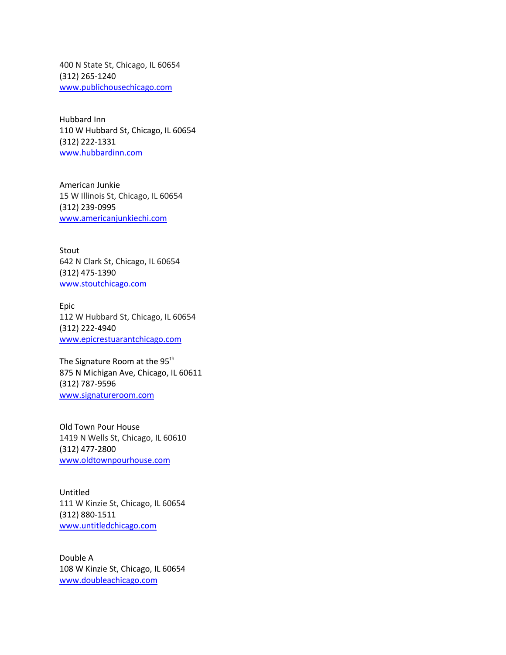400 N State St, Chicago, IL 60654 (312) 265-1240 [www.publichousechicago.com](http://www.publichousechicago.com/)

Hubbard Inn 110 W Hubbard St, Chicago, IL 60654 (312) 222-1331 [www.hubbardinn.com](http://www.hubbardinn.com/)

American Junkie 15 W Illinois St, Chicago, IL 60654 (312) 239-0995 [www.americanjunkiechi.com](http://www.americanjunkiechi.com/)

Stout 642 N Clark St, Chicago, IL 60654 (312) 475-1390 [www.stoutchicago.com](http://www.stoutchicago.com/)

Epic 112 W Hubbard St, Chicago, IL 60654 (312) 222-4940 [www.epicrestuarantchicago.com](http://www.epicrestuarantchicago.com/)

The Signature Room at the 95<sup>th</sup> 875 N Michigan Ave, Chicago, IL 60611 (312) 787-9596 [www.signatureroom.com](http://www.signatureroom.com/)

Old Town Pour House 1419 N Wells St, Chicago, IL 60610 (312) 477-2800 [www.oldtownpourhouse.com](http://www.oldtownpourhouse.com/)

Untitled 111 W Kinzie St, Chicago, IL 60654 (312) 880-1511 [www.untitledchicago.com](http://www.untitledchicago.com/)

Double A 108 W Kinzie St, Chicago, IL 60654 [www.doubleachicago.com](http://www.doubleachicago.com/)